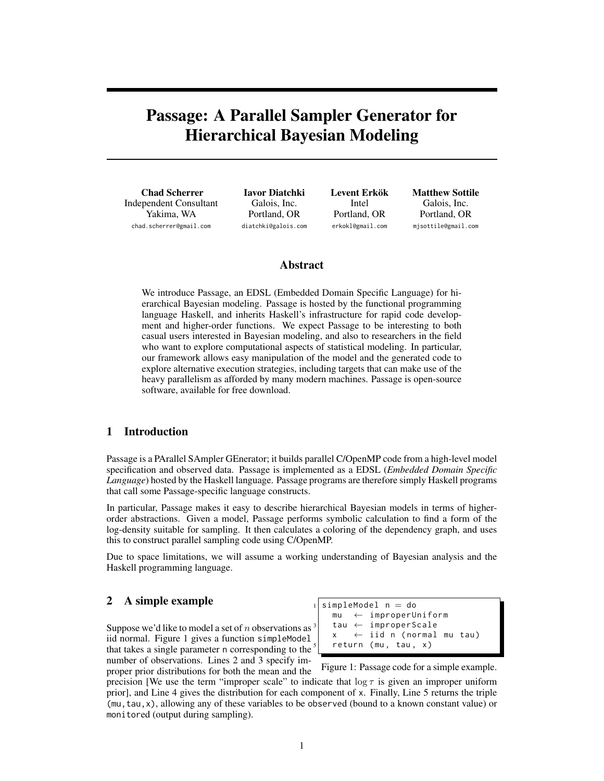# Passage: A Parallel Sampler Generator for Hierarchical Bayesian Modeling

Chad Scherrer Independent Consultant Yakima, WA chad.scherrer@gmail.com

Iavor Diatchki Galois, Inc. Portland, OR diatchki@galois.com Levent Erkök Intel Portland, OR erkokl@gmail.com

Matthew Sottile Galois, Inc. Portland, OR mjsottile@gmail.com

## Abstract

We introduce Passage, an EDSL (Embedded Domain Specific Language) for hierarchical Bayesian modeling. Passage is hosted by the functional programming language Haskell, and inherits Haskell's infrastructure for rapid code development and higher-order functions. We expect Passage to be interesting to both casual users interested in Bayesian modeling, and also to researchers in the field who want to explore computational aspects of statistical modeling. In particular, our framework allows easy manipulation of the model and the generated code to explore alternative execution strategies, including targets that can make use of the heavy parallelism as afforded by many modern machines. Passage is open-source software, available for free download.

### 1 Introduction

Passage is a PArallel SAmpler GEnerator; it builds parallel C/OpenMP code from a high-level model specification and observed data. Passage is implemented as a EDSL (*Embedded Domain Specific Language*) hosted by the Haskell language. Passage programs are therefore simply Haskell programs that call some Passage-specific language constructs.

In particular, Passage makes it easy to describe hierarchical Bayesian models in terms of higherorder abstractions. Given a model, Passage performs symbolic calculation to find a form of the log-density suitable for sampling. It then calculates a coloring of the dependency graph, and uses this to construct parallel sampling code using C/OpenMP.

Due to space limitations, we will assume a working understanding of Bayesian analysis and the Haskell programming language.

## 2 A simple example  $\frac{1}{\sin p \cdot 1}$  simpleModel n = do

Suppose we'd like to model a set of  $n$  observations as iid normal. Figure 1 gives a function simpleModel that takes a single parameter n corresponding to the number of observations. Lines 2 and 3 specify improper prior distributions for both the mean and the mu ← improperUniform tau  $\leftarrow$  improperScale  $x \leftrightarrow$  iid n (normal mu tau) return (mu, tau, x)

Figure 1: Passage code for a simple example.

precision [We use the term "improper scale" to indicate that  $\log \tau$  is given an improper uniform prior], and Line 4 gives the distribution for each component of x. Finally, Line 5 returns the triple (mu,tau,x), allowing any of these variables to be observed (bound to a known constant value) or monitored (output during sampling).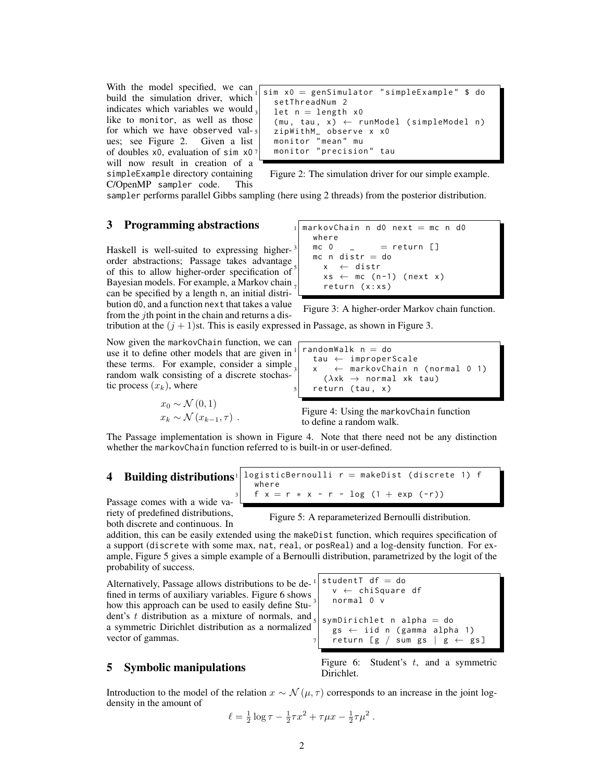With the model specified, we can build the simulation driver, which indicates which variables we would like to monitor, as well as those for which we have observed val- $_5$  ues; see Figure 2. Given a list ues; see Figure 2. of doubles  $x0$ , evaluation of sim  $x0$ <sup>7</sup> will now result in creation of a simpleExample directory containing C/OpenMP sampler code. This

```
sim x0 = genSimulator "simpleExample" $ do
  setThreadNum 2
  let n = length x0(mu, tau, x) \leftarrow runModel (simpleModel n)zipWithM_ observe x x0
  monitor " mean " mu
  monitor " precision" tau
```
Figure 2: The simulation driver for our simple example.

sampler performs parallel Gibbs sampling (here using 2 threads) from the posterior distribution.

## **3 Programming abstractions**  $1$  markovChain n d0 next = mc n d0

Haskell is well-suited to expressing higherorder abstractions; Passage takes advantage of this to allow higher-order specification of Bayesian models. For example, a Markov chain can be specified by a length n, an initial distribution d0, and a function next that takes a value from the jth point in the chain and returns a dis-

```
where
mc 0 = return []
mc n distr = do
  5 x ← distr
  xs \leftarrow mc (n-1) (next x)return ( x : x s)
```
Figure 3: A higher-order Markov chain function.

 $x \leftarrow$  markovChain n (normal 0 1)

tribution at the  $(j + 1)$ st. This is easily expressed in Passage, as shown in Figure 3.

Now given the markovChain function, we can use it to define other models that are given in these terms. For example, consider a simple random walk consisting of a discrete stochastic process  $(x_k)$ , where

$$
x_0 \sim \mathcal{N}(0, 1)
$$
  

$$
x_k \sim \mathcal{N}(x_{k-1}, \tau) .
$$

Figure 4: Using the markovChain function to define a random walk.

 $(\lambda x k \rightarrow$  normal xk tau)

randomWalk  $n =$  do

return (tau, x)

tau ← improperScale

The Passage implementation is shown in Figure 4. Note that there need not be any distinction whether the markovChain function referred to is built-in or user-defined.

#### **4** Building distributions<sup>1</sup> logisticBernoulli  $r =$  makeDist (discrete 1) f where  $f x = r * x - r - log (1 + exp (-r))$

Passage comes with a wide variety of predefined distributions, both discrete and continuous. In

Figure 5: A reparameterized Bernoulli distribution.

addition, this can be easily extended using the makeDist function, which requires specification of a support (discrete with some max, nat, real, or posReal) and a log-density function. For example, Figure 5 gives a simple example of a Bernoulli distribution, parametrized by the logit of the probability of success.

Alternatively, Passage allows distributions to be defined in terms of auxiliary variables. Figure 6 shows how this approach can be used to easily define Student's t distribution as a mixture of normals, and a symmetric Dirichlet distribution as a normalized vector of gammas.

```
\n
$$
\begin{array}{|l|}\n \hline\n \text{studentT df = do} \\
 \hline\n v \leftarrow \text{chSquare df} \\
 \hline\n \text{normal 0 v} \\
 \text{sumDirichlet n alpha = do} \\
 \hline\n \text{gs} \leftarrow \text{iid n (gamma alpha 1)} \\
 \text{return [g / sum gs | g \leftarrow gs]\n} \\
 \hline\n \end{array}
$$
\n
```

#### 5 Symbolic manipulations

Figure 6: Student's  $t$ , and a symmetric Dirichlet.

Introduction to the model of the relation  $x \sim \mathcal{N}(\mu, \tau)$  corresponds to an increase in the joint logdensity in the amount of

$$
\ell = \frac{1}{2} \log \tau - \frac{1}{2} \tau x^2 + \tau \mu x - \frac{1}{2} \tau \mu^2.
$$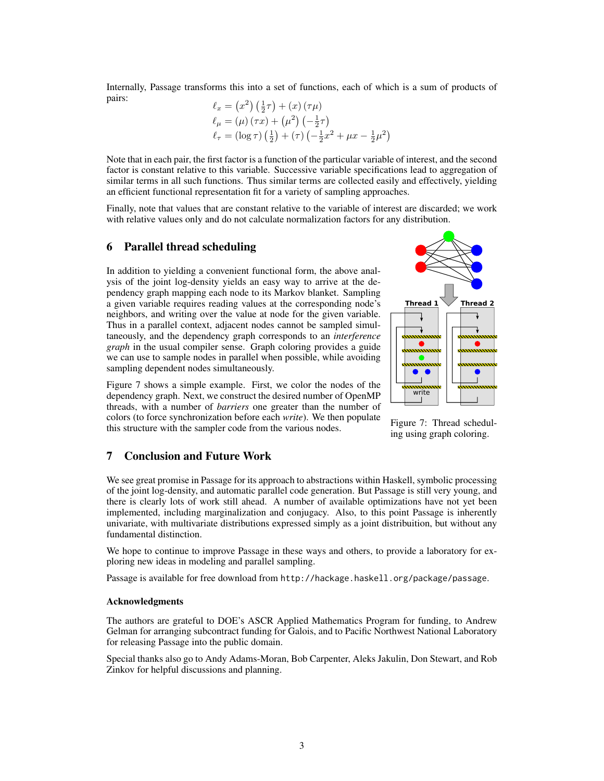Internally, Passage transforms this into a set of functions, each of which is a sum of products of pairs:

$$
\ell_x = (x^2) \left(\frac{1}{2}\tau\right) + (x) \left(\tau \mu\right)
$$
  
\n
$$
\ell_\mu = (\mu) \left(\tau x\right) + \left(\mu^2\right) \left(-\frac{1}{2}\tau\right)
$$
  
\n
$$
\ell_\tau = (\log \tau) \left(\frac{1}{2}\right) + (\tau) \left(-\frac{1}{2}x^2 + \mu x - \frac{1}{2}\mu^2\right)
$$

Note that in each pair, the first factor is a function of the particular variable of interest, and the second factor is constant relative to this variable. Successive variable specifications lead to aggregation of similar terms in all such functions. Thus similar terms are collected easily and effectively, yielding an efficient functional representation fit for a variety of sampling approaches.

Finally, note that values that are constant relative to the variable of interest are discarded; we work with relative values only and do not calculate normalization factors for any distribution.

## 6 Parallel thread scheduling

In addition to yielding a convenient functional form, the above analysis of the joint log-density yields an easy way to arrive at the dependency graph mapping each node to its Markov blanket. Sampling a given variable requires reading values at the corresponding node's neighbors, and writing over the value at node for the given variable. Thus in a parallel context, adjacent nodes cannot be sampled simultaneously, and the dependency graph corresponds to an *interference graph* in the usual compiler sense. Graph coloring provides a guide we can use to sample nodes in parallel when possible, while avoiding sampling dependent nodes simultaneously.



Figure 7 shows a simple example. First, we color the nodes of the dependency graph. Next, we construct the desired number of OpenMP threads, with a number of *barriers* one greater than the number of colors (to force synchronization before each *write*). We then populate this structure with the sampler code from the various nodes.

Figure 7: Thread scheduling using graph coloring.

## 7 Conclusion and Future Work

We see great promise in Passage for its approach to abstractions within Haskell, symbolic processing of the joint log-density, and automatic parallel code generation. But Passage is still very young, and there is clearly lots of work still ahead. A number of available optimizations have not yet been implemented, including marginalization and conjugacy. Also, to this point Passage is inherently univariate, with multivariate distributions expressed simply as a joint distribuition, but without any fundamental distinction.

We hope to continue to improve Passage in these ways and others, to provide a laboratory for exploring new ideas in modeling and parallel sampling.

Passage is available for free download from http://hackage.haskell.org/package/passage.

#### Acknowledgments

The authors are grateful to DOE's ASCR Applied Mathematics Program for funding, to Andrew Gelman for arranging subcontract funding for Galois, and to Pacific Northwest National Laboratory for releasing Passage into the public domain.

Special thanks also go to Andy Adams-Moran, Bob Carpenter, Aleks Jakulin, Don Stewart, and Rob Zinkov for helpful discussions and planning.